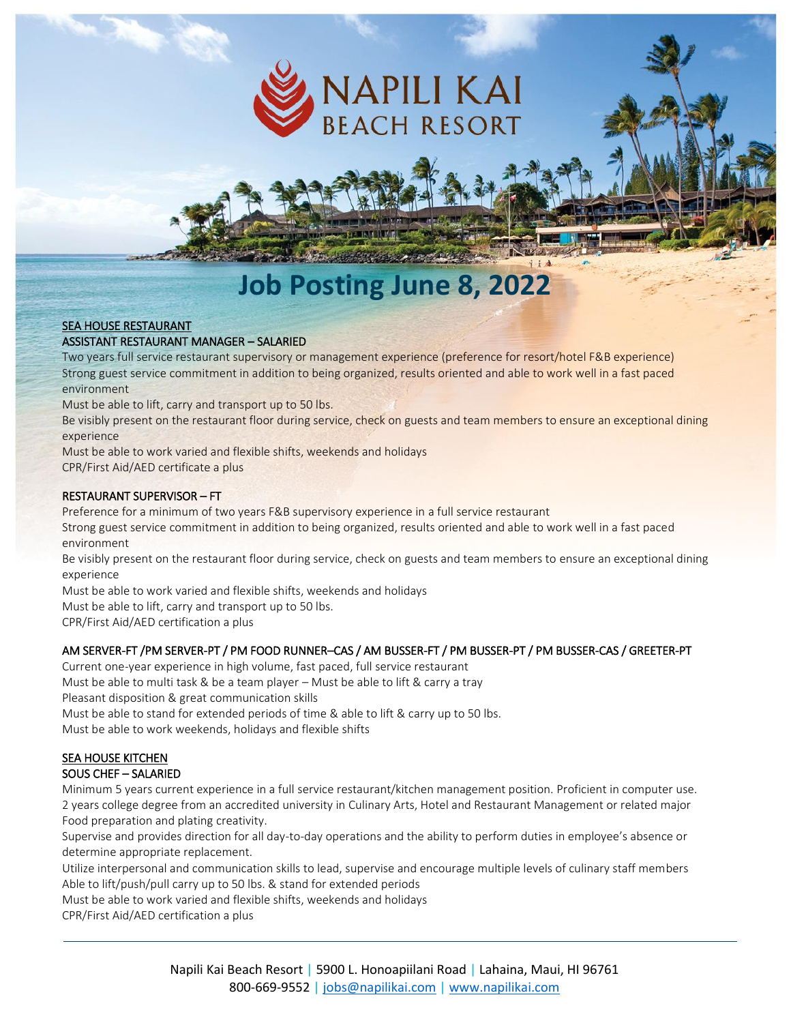

# **Job Posting June 8, 2022**

#### SEA HOUSE RESTAURANT

#### ASSISTANT RESTAURANT MANAGER – SALARIED

Two years full service restaurant supervisory or management experience (preference for resort/hotel F&B experience) Strong guest service commitment in addition to being organized, results oriented and able to work well in a fast paced environment

Must be able to lift, carry and transport up to 50 lbs.

Be visibly present on the restaurant floor during service, check on guests and team members to ensure an exceptional dining experience

Must be able to work varied and flexible shifts, weekends and holidays CPR/First Aid/AED certificate a plus

#### RESTAURANT SUPERVISOR – FT

Preference for a minimum of two years F&B supervisory experience in a full service restaurant

Strong guest service commitment in addition to being organized, results oriented and able to work well in a fast paced environment

Be visibly present on the restaurant floor during service, check on guests and team members to ensure an exceptional dining experience

Must be able to work varied and flexible shifts, weekends and holidays

Must be able to lift, carry and transport up to 50 lbs.

CPR/First Aid/AED certification a plus

## AM SERVER-FT /PM SERVER-PT / PM FOOD RUNNER–CAS / AM BUSSER-FT / PM BUSSER-PT / PM BUSSER-CAS / GREETER-PT

Current one-year experience in high volume, fast paced, full service restaurant

Must be able to multi task & be a team player – Must be able to lift & carry a tray

Pleasant disposition & great communication skills

Must be able to stand for extended periods of time & able to lift & carry up to 50 lbs.

Must be able to work weekends, holidays and flexible shifts

#### SEA HOUSE KITCHEN

#### SOUS CHEF – SALARIED

Minimum 5 years current experience in a full service restaurant/kitchen management position. Proficient in computer use. 2 years college degree from an accredited university in Culinary Arts, Hotel and Restaurant Management or related major Food preparation and plating creativity.

Supervise and provides direction for all day-to-day operations and the ability to perform duties in employee's absence or determine appropriate replacement.

Utilize interpersonal and communication skills to lead, supervise and encourage multiple levels of culinary staff members Able to lift/push/pull carry up to 50 lbs. & stand for extended periods

Must be able to work varied and flexible shifts, weekends and holidays

CPR/First Aid/AED certification a plus